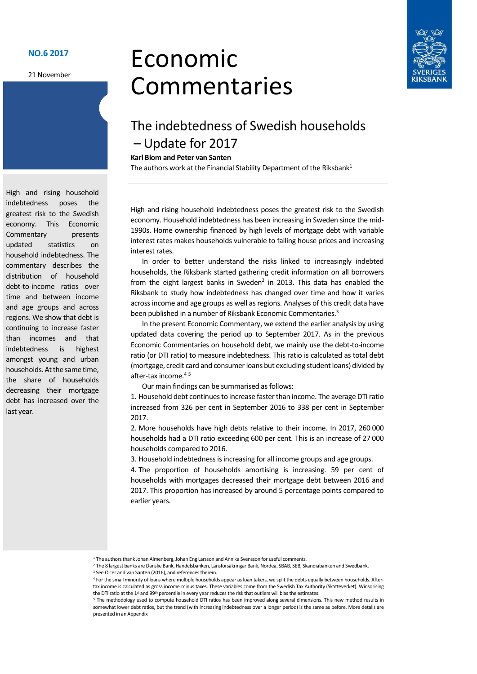#### NO.6 2017

21 November

# Economic Commentaries



## The indebtedness of Swedish households – Update for 2017

#### Karl Blom and Peter van Santen

The authors work at the Financial Stability Department of the Riksbank<sup>1</sup>

High and rising household indebtedness poses the greatest risk to the Swedish economy. Household indebtedness has been increasing in Sweden since the mid-1990s. Home ownership financed by high levels of mortgage debt with variable interest rates makes households vulnerable to falling house prices and increasing interest rates.

In order to better understand the risks linked to increasingly indebted households, the Riksbank started gathering credit information on all borrowers from the eight largest banks in Sweden<sup>2</sup> in 2013. This data has enabled the Riksbank to study how indebtedness has changed over time and how it varies across income and age groups as well as regions. Analyses of this credit data have been published in a number of Riksbank Economic Commentaries.<sup>3</sup>

In the present Economic Commentary, we extend the earlier analysis by using updated data covering the period up to September 2017. As in the previous Economic Commentaries on household debt, we mainly use the debt-to-income ratio (or DTI ratio) to measure indebtedness. This ratio is calculated as total debt (mortgage, credit card and consumer loans but excluding student loans) divided by after-tax income  $4.5$ Ì.

Our main findings can be summarised as follows:

1. Household debt continues to increase faster than income. The average DTI ratio increased from 326 per cent in September 2016 to 338 per cent in September 2017.

2. More households have high debts relative to their income. In 2017, 260 000 households had a DTI ratio exceeding 600 per cent. This is an increase of 27 000 households compared to 2016.

3. Household indebtedness is increasing for all income groups and age groups.

4. The proportion of households amortising is increasing. 59 per cent of households with mortgages decreased their mortgage debt between 2016 and 2017. This proportion has increased by around 5 percentage points compared to earlier years.

High and rising household indebtedness poses the greatest risk to the Swedish economy. This Economic Commentary presents updated statistics on household indebtedness. The commentary describes the distribution of household debt-to-income ratios over time and between income and age groups and across regions. We show that debt is continuing to increase faster than incomes and that indebtedness is highest amongst young and urban households. At the same time, the share of households decreasing their mortgage debt has increased over the last year.

-

<sup>&</sup>lt;sup>1</sup> The authors thank Johan Almenberg, Johan Eng Larsson and Annika Svensson for useful comments.

<sup>2</sup> The 8 largest banks are Danske Bank, Handelsbanken, Länsförsäkringar Bank, Nordea, SBAB, SEB, Skandiabanken and Swedbank. 3 See Ölcer and van Santen (2016), and references therein.

<sup>4</sup> For the small minority of loans where multiple households appear as loan takers, we split the debts equally between households. Aftertax income is calculated as gross income minus taxes. These variables come from the Swedish Tax Authority (Skatteverket). Winsorising the DTI ratio at the 1<sup>st</sup> and 99<sup>th</sup> percentile in every year reduces the risk that outliers will bias the estimates.

<sup>5</sup> The methodology used to compute household DTI ratios has been improved along several dimensions. This new method results in somewhat lower debt ratios, but the trend (with increasing indebtedness over a longer period) is the same as before. More details are presented in an Appendix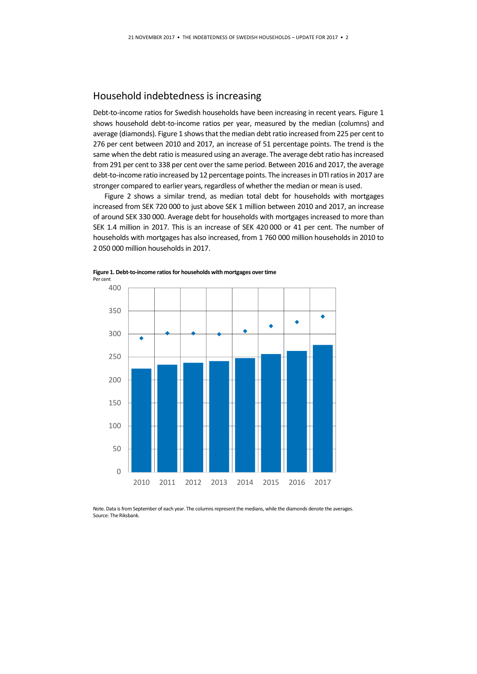#### Household indebtedness is increasing

Debt-to-income ratios for Swedish households have been increasing in recent years. Figure 1 shows household debt-to-income ratios per year, measured by the median (columns) and average (diamonds). Figure 1 shows that the median debt ratio increased from 225 per cent to 276 per cent between 2010 and 2017, an increase of 51 percentage points. The trend is the same when the debt ratio is measured using an average. The average debt ratio has increased from 291 per cent to 338 per cent over the same period. Between 2016 and 2017, the average debt-to-income ratio increased by 12 percentage points. The increases in DTI ratios in 2017 are stronger compared to earlier years, regardless of whether the median or mean is used.

Figure 2 shows a similar trend, as median total debt for households with mortgages increased from SEK 720 000 to just above SEK 1 million between 2010 and 2017, an increase of around SEK 330 000. Average debt for households with mortgages increased to more than SEK 1.4 million in 2017. This is an increase of SEK 420 000 or 41 per cent. The number of households with mortgages has also increased, from 1 760 000 million households in 2010 to 2 050 000 million households in 2017.



Figure 1. Debt-to-income ratios for households with mortgages over time Per cent

Note. Data is from September of each year. The columns represent the medians, while the diamonds denote the averages. Source: The Riksbank.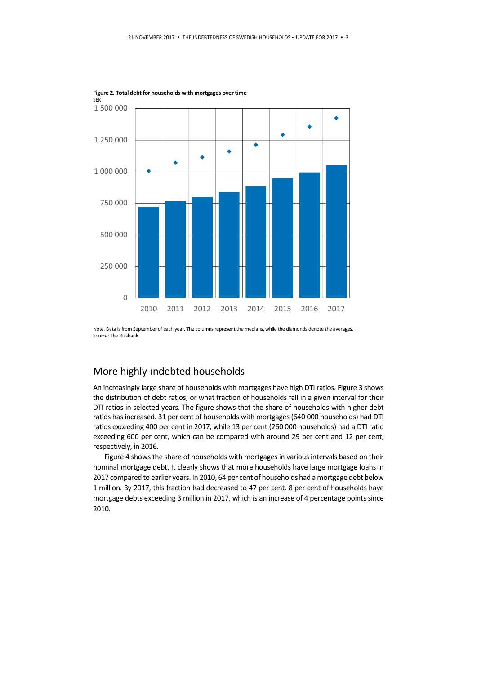

Figure 2. Total debt for households with mortgages over time

Note. Data is from September of each year. The columns represent the medians, while the diamonds denote the averages. Source: The Riksbank.

### More highly-indebted households

An increasingly large share of households with mortgages have high DTI ratios. Figure 3 shows the distribution of debt ratios, or what fraction of households fall in a given interval for their DTI ratios in selected years. The figure shows that the share of households with higher debt ratios has increased. 31 per cent of households with mortgages (640 000 households) had DTI ratios exceeding 400 per cent in 2017, while 13 per cent (260 000 households) had a DTI ratio exceeding 600 per cent, which can be compared with around 29 per cent and 12 per cent, respectively, in 2016.

Figure 4 shows the share of households with mortgages in various intervals based on their nominal mortgage debt. It clearly shows that more households have large mortgage loans in 2017 compared to earlier years. In 2010, 64 per cent of households had a mortgage debt below 1 million. By 2017, this fraction had decreased to 47 per cent. 8 per cent of households have mortgage debts exceeding 3 million in 2017, which is an increase of 4 percentage points since 2010.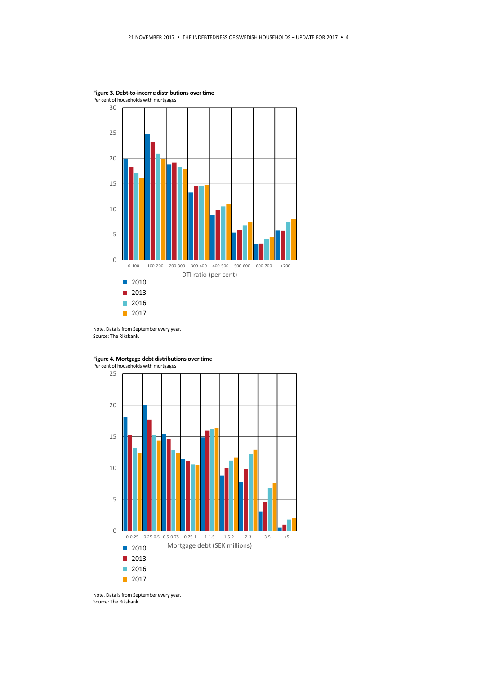

Figure 3. Debt-to-income distributions over time







Note. Data is from September every year. Source: The Riksbank.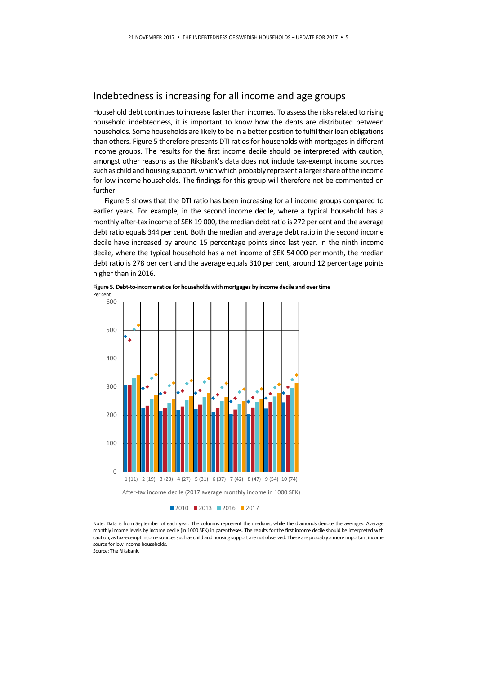#### Indebtedness is increasing for all income and age groups

Household debt continues to increase faster than incomes. To assess the risks related to rising household indebtedness, it is important to know how the debts are distributed between households. Some households are likely to be in a better position to fulfil their loan obligations than others. Figure 5 therefore presents DTI ratios for households with mortgages in different income groups. The results for the first income decile should be interpreted with caution, amongst other reasons as the Riksbank's data does not include tax-exempt income sources such as child and housing support, which which probably represent a larger share of the income for low income households. The findings for this group will therefore not be commented on further.

Figure 5 shows that the DTI ratio has been increasing for all income groups compared to earlier years. For example, in the second income decile, where a typical household has a monthly after-tax income of SEK 19 000, the median debt ratio is 272 per cent and the average debt ratio equals 344 per cent. Both the median and average debt ratio in the second income decile have increased by around 15 percentage points since last year. In the ninth income decile, where the typical household has a net income of SEK 54 000 per month, the median debt ratio is 278 per cent and the average equals 310 per cent, around 12 percentage points higher than in 2016.



Figure 5. Debt-to-income ratios for households with mortgages by income decile and over time Per cent

**2010 2013 2016 2017** 

Note. Data is from September of each year. The columns represent the medians, while the diamonds denote the averages. Average monthly income levels by income decile (in 1000 SEK) in parentheses. The results for the first income decile should be interpreted with caution, as tax-exempt income sources such as child and housing support are not observed. These are probably a more important income source for low income households.

Source: The Riksbank.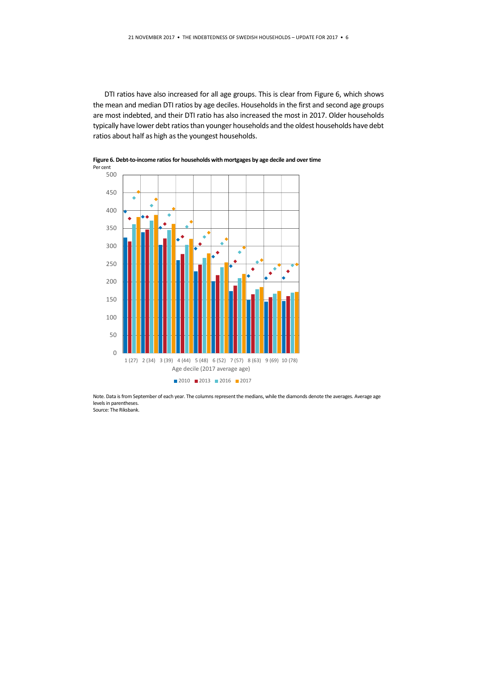DTI ratios have also increased for all age groups. This is clear from Figure 6, which shows the mean and median DTI ratios by age deciles. Households in the first and second age groups are most indebted, and their DTI ratio has also increased the most in 2017. Older households typically have lower debt ratios than younger households and the oldest households have debt ratios about half as high as the youngest households.



Figure 6. Debt-to-income ratios for households with mortgages by age decile and over time Per cent

Note. Data is from September of each year. The columns represent the medians, while the diamonds denote the averages. Average age levels in parentheses. Source: The Riksbank.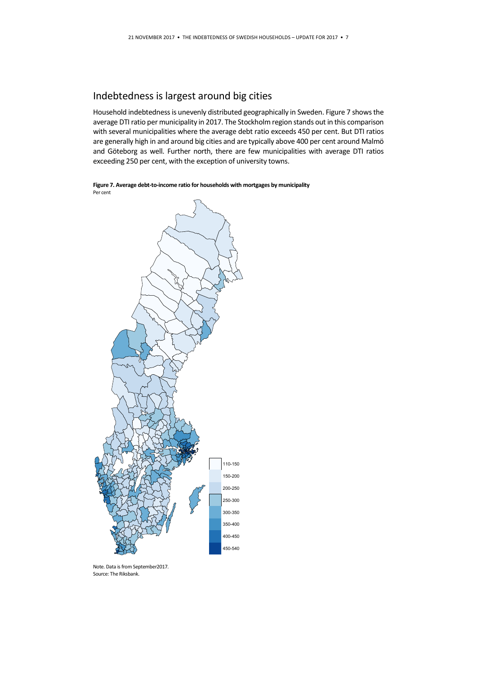## Indebtedness is largest around big cities

Household indebtedness is unevenly distributed geographically in Sweden. Figure 7 shows the average DTI ratio per municipality in 2017. The Stockholm region stands out in this comparison with several municipalities where the average debt ratio exceeds 450 per cent. But DTI ratios are generally high in and around big cities and are typically above 400 per cent around Malmö and Göteborg as well. Further north, there are few municipalities with average DTI ratios exceeding 250 per cent, with the exception of university towns.

Figure 7. Average debt-to-income ratio for households with mortgages by municipality Per cent



Note. Data is from September2017. Source: The Riksbank.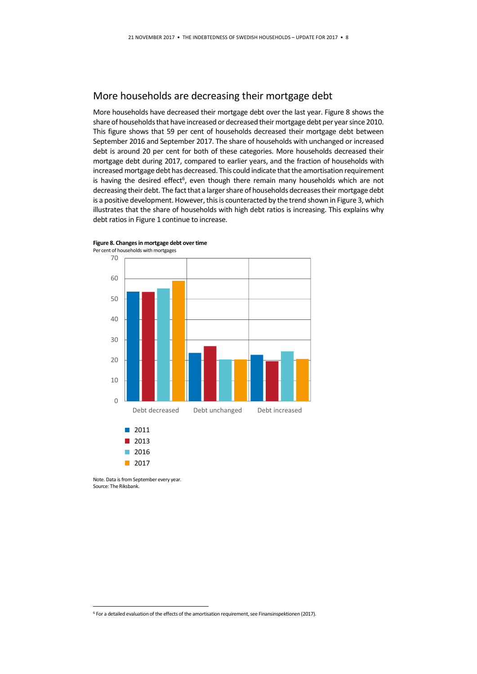#### More households are decreasing their mortgage debt

More households have decreased their mortgage debt over the last year. Figure 8 shows the share of households that have increased or decreased their mortgage debt per year since 2010. This figure shows that 59 per cent of households decreased their mortgage debt between September 2016 and September 2017. The share of households with unchanged or increased debt is around 20 per cent for both of these categories. More households decreased their mortgage debt during 2017, compared to earlier years, and the fraction of households with increased mortgage debt has decreased. This could indicate that the amortisation requirement is having the desired effect<sup>6</sup>, even though there remain many households which are not decreasing their debt. The fact that a larger share of households decreases their mortgage debt is a positive development. However, this is counteracted by the trend shown in Figure 3, which illustrates that the share of households with high debt ratios is increasing. This explains why debt ratios in Figure 1 continue to increase.



Figure 8. Changes in mortgage debt over time Per cent of households with mortgages

Note. Data is from September every year. Source: The Riksbank.

-

<sup>6</sup> For a detailed evaluation of the effects of the amortisation requirement, see Finansinspektionen (2017).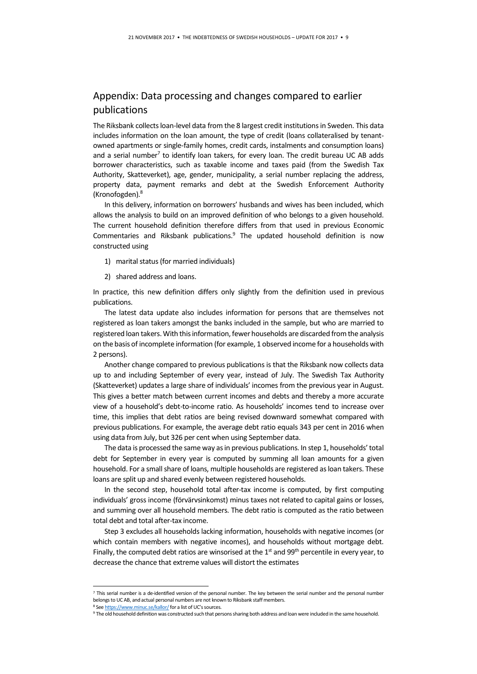#### Appendix: Data processing and changes compared to earlier publications

The Riksbank collects loan-level data from the 8 largest credit institutions in Sweden. This data includes information on the loan amount, the type of credit (loans collateralised by tenantowned apartments or single-family homes, credit cards, instalments and consumption loans) and a serial number<sup>7</sup> to identify loan takers, for every loan. The credit bureau UC AB adds borrower characteristics, such as taxable income and taxes paid (from the Swedish Tax Authority, Skatteverket), age, gender, municipality, a serial number replacing the address, property data, payment remarks and debt at the Swedish Enforcement Authority (Kronofogden).<sup>8</sup>

In this delivery, information on borrowers' husbands and wives has been included, which allows the analysis to build on an improved definition of who belongs to a given household. The current household definition therefore differs from that used in previous Economic Commentaries and Riksbank publications.<sup>9</sup> The updated household definition is now constructed using

- 1) marital status (for married individuals)
- 2) shared address and loans.

-

In practice, this new definition differs only slightly from the definition used in previous publications.

The latest data update also includes information for persons that are themselves not registered as loan takers amongst the banks included in the sample, but who are married to registered loan takers. With this information, fewer households are discarded from the analysis on the basis of incomplete information (for example, 1 observed income for a households with 2 persons).

Another change compared to previous publications is that the Riksbank now collects data up to and including September of every year, instead of July. The Swedish Tax Authority (Skatteverket) updates a large share of individuals' incomes from the previous year in August. This gives a better match between current incomes and debts and thereby a more accurate view of a household's debt-to-income ratio. As households' incomes tend to increase over time, this implies that debt ratios are being revised downward somewhat compared with previous publications. For example, the average debt ratio equals 343 per cent in 2016 when using data from July, but 326 per cent when using September data.

The data is processed the same way as in previous publications. In step 1, households' total debt for September in every year is computed by summing all loan amounts for a given household. For a small share of loans, multiple households are registered as loan takers. These loans are split up and shared evenly between registered households.

In the second step, household total after-tax income is computed, by first computing individuals' gross income (förvärvsinkomst) minus taxes not related to capital gains or losses, and summing over all household members. The debt ratio is computed as the ratio between total debt and total after-tax income.

Step 3 excludes all households lacking information, households with negative incomes (or which contain members with negative incomes), and households without mortgage debt. Finally, the computed debt ratios are winsorised at the  $1<sup>st</sup>$  and  $99<sup>th</sup>$  percentile in every year, to decrease the chance that extreme values will distort the estimates

<sup>7</sup> This serial number is a de-identified version of the personal number. The key between the serial number and the personal number belongs to UC AB, and actual personal numbers are not known to Riksbank staff members. <sup>8</sup> See https://www.minuc.se/kallor/ for a list of UC's sources.

<sup>9</sup> The old household definition was constructed such that persons sharing both address and loan were included in the same household.